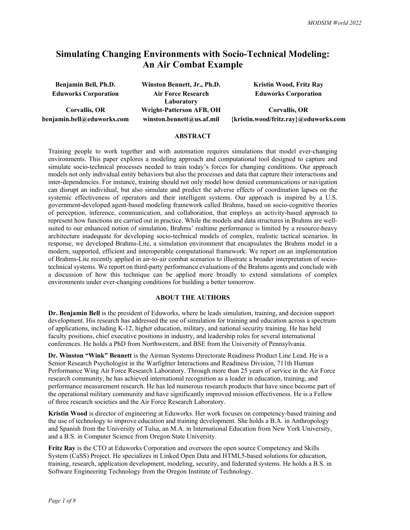## **Simulating Changing Environments with Socio-Technical Modeling: An Air Combat Example**

| Benjamin Bell, Ph.D.        | Winston Bennett, Jr., Ph.D. | Kristin Wood, Fritz Ray               |  |  |
|-----------------------------|-----------------------------|---------------------------------------|--|--|
| <b>Eduworks Corporation</b> | <b>Air Force Research</b>   | <b>Eduworks Corporation</b>           |  |  |
|                             | Laboratory                  |                                       |  |  |
| Corvallis, OR               | Wright-Patterson AFB, OH    | Corvallis, OR                         |  |  |
| benjamin.bell@eduworks.com  | winston.bennett@us.af.mil   | {kristin.wood/fritz.ray}@eduworks.com |  |  |

#### **ABSTRACT**

Training people to work together and with automation requires simulations that model ever-changing environments. This paper explores a modeling approach and computational tool designed to capture and simulate socio-technical processes needed to train today's forces for changing conditions. Our approach models not only individual entity behaviors but also the processes and data that capture their interactions and inter-dependencies. For instance, training should not only model how denied communications or navigation can disrupt an individual, but also simulate and predict the adverse effects of coordination lapses on the systemic effectiveness of operators and their intelligent systems. Our approach is inspired by a U.S. government-developed agent-based modeling framework called Brahms, based on socio-cognitive theories of perception, inference, communication, and collaboration, that employs an activity-based approach to represent how functions are carried out in practice. While the models and data structures in Brahms are wellsuited to our enhanced notion of simulation, Brahms' realtime performance is limited by a resource-heavy architecture inadequate for developing socio-technical models of complex, realistic tactical scenarios. In response, we developed Brahms-Lite, a simulation environment that encapsulates the Brahms model in a modern, supported, efficient and interoperable computational framework. We report on an implementation of Brahms-Lite recently applied in air-to-air combat scenarios to illustrate a broader interpretation of sociotechnical systems. We report on third-party performance evaluations of the Brahms agents and conclude with a discussion of how this technique can be applied more broadly to extend simulations of complex environments under ever-changing conditions for building a better tomorrow.

### **ABOUT THE AUTHORS**

**Dr. Benjamin Bell** is the president of Eduworks, where he leads simulation, training, and decision support development. His research has addressed the use of simulation for training and education across a spectrum of applications, including K-12, higher education, military, and national security training. He has held faculty positions, chief executive positions in industry, and leadership roles for several international conferences. He holds a PhD from Northwestern, and BSE from the University of Pennsylvania.

**Dr. Winston "Wink" Bennett** is the Airman Systems Directorate Readiness Product Line Lead. He is a Senior Research Psychologist in the Warfighter Interactions and Readiness Division, 711th Human Performance Wing Air Force Research Laboratory. Through more than 25 years of service in the Air Force research community, he has achieved international recognition as a leader in education, training, and performance measurement research. He has led numerous research products that have since become part of the operational military community and have significantly improved mission effectiveness. He is a Fellow of three research societies and the Air Force Research Laboratory.

**Kristin Wood** is director of engineering at Eduworks. Her work focuses on competency-based training and the use of technology to improve education and training development. She holds a B.A. in Anthropology and Spanish from the University of Tulsa, an M.A. in International Education from New York University, and a B.S. in Computer Science from Oregon State University.

**Fritz Ray** is the CTO at Eduworks Corporation and oversees the open source Competency and Skills System (CaSS) Project. He specializes in Linked Open Data and HTML5-based solutions for education, training, research, application development, modeling, security, and federated systems. He holds a B.S. in Software Engineering Technology from the Oregon Institute of Technology.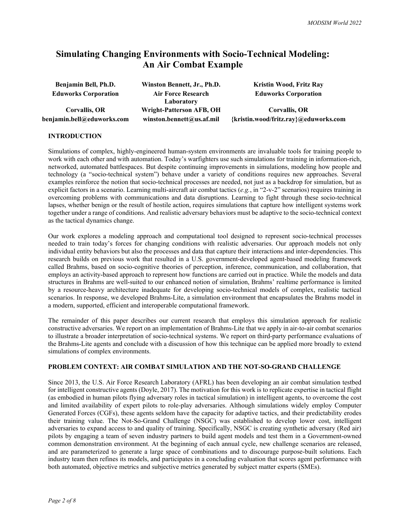# **Simulating Changing Environments with Socio-Technical Modeling: An Air Combat Example**

| Benjamin Bell, Ph.D.        | Winston Bennett, Jr., Ph.D. | <b>Kristin Wood, Fritz Ray</b>        |  |  |
|-----------------------------|-----------------------------|---------------------------------------|--|--|
| <b>Eduworks Corporation</b> | <b>Air Force Research</b>   | <b>Eduworks Corporation</b>           |  |  |
|                             | Laboratory                  |                                       |  |  |
| Corvallis, OR               | Wright-Patterson AFB, OH    | Corvallis, OR                         |  |  |
| benjamin.bell@eduworks.com  | winston.bennett@us.af.mil   | {kristin.wood/fritz.ray}@eduworks.com |  |  |

#### **INTRODUCTION**

Simulations of complex, highly-engineered human-system environments are invaluable tools for training people to work with each other and with automation. Today's warfighters use such simulations for training in information-rich, networked, automated battlespaces. But despite continuing improvements in simulations, modeling how people and technology (a "socio-technical system") behave under a variety of conditions requires new approaches. Several examples reinforce the notion that socio-technical processes are needed, not just as a backdrop for simulation, but as explicit factors in a scenario. Learning multi-aircraft air combat tactics (*e.g.*, in "2-v-2" scenarios) requires training in overcoming problems with communications and data disruptions. Learning to fight through these socio-technical lapses, whether benign or the result of hostile action, requires simulations that capture how intelligent systems work together under a range of conditions. And realistic adversary behaviors must be adaptive to the socio-technical context as the tactical dynamics change.

Our work explores a modeling approach and computational tool designed to represent socio-technical processes needed to train today's forces for changing conditions with realistic adversaries. Our approach models not only individual entity behaviors but also the processes and data that capture their interactions and inter-dependencies. This research builds on previous work that resulted in a U.S. government-developed agent-based modeling framework called Brahms, based on socio-cognitive theories of perception, inference, communication, and collaboration, that employs an activity-based approach to represent how functions are carried out in practice. While the models and data structures in Brahms are well-suited to our enhanced notion of simulation, Brahms' realtime performance is limited by a resource-heavy architecture inadequate for developing socio-technical models of complex, realistic tactical scenarios. In response, we developed Brahms-Lite, a simulation environment that encapsulates the Brahms model in a modern, supported, efficient and interoperable computational framework.

The remainder of this paper describes our current research that employs this simulation approach for realistic constructive adversaries. We report on an implementation of Brahms-Lite that we apply in air-to-air combat scenarios to illustrate a broader interpretation of socio-technical systems. We report on third-party performance evaluations of the Brahms-Lite agents and conclude with a discussion of how this technique can be applied more broadly to extend simulations of complex environments.

#### **PROBLEM CONTEXT: AIR COMBAT SIMULATION AND THE NOT-SO-GRAND CHALLENGE**

Since 2013, the U.S. Air Force Research Laboratory (AFRL) has been developing an air combat simulation testbed for intelligent constructive agents (Doyle, 2017). The motivation for this work is to replicate expertise in tactical flight (as embodied in human pilots flying adversary roles in tactical simulation) in intelligent agents, to overcome the cost and limited availability of expert pilots to role-play adversaries. Although simulations widely employ Computer Generated Forces (CGFs), these agents seldom have the capacity for adaptive tactics, and their predictability erodes their training value. The Not-So-Grand Challenge (NSGC) was established to develop lower cost, intelligent adversaries to expand access to and quality of training. Specifically, NSGC is creating synthetic adversary (Red air) pilots by engaging a team of seven industry partners to build agent models and test them in a Government-owned common demonstration environment. At the beginning of each annual cycle, new challenge scenarios are released, and are parameterized to generate a large space of combinations and to discourage purpose-built solutions. Each industry team then refines its models, and participates in a concluding evaluation that scores agent performance with both automated, objective metrics and subjective metrics generated by subject matter experts (SMEs).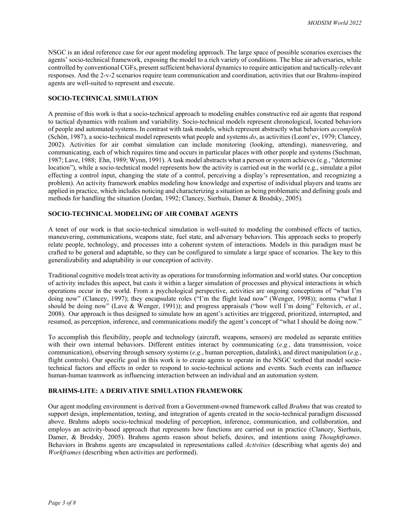NSGC is an ideal reference case for our agent modeling approach. The large space of possible scenarios exercises the agents' socio-technical framework, exposing the model to a rich variety of conditions. The blue air adversaries, while controlled by conventional CGFs, present sufficient behavioral dynamics to require anticipation and tactically-relevant responses. And the 2-v-2 scenarios require team communication and coordination, activities that our Brahms-inspired agents are well-suited to represent and execute.

### **SOCIO-TECHNICAL SIMULATION**

A premise of this work is that a socio-technical approach to modeling enables constructive red air agents that respond to tactical dynamics with realism and variability. Socio-technical models represent chronological, located behaviors of people and automated systems. In contrast with task models, which represent abstractly what behaviors *accomplish* (Schön, 1987), a socio-technical model represents what people and systems *do*, as activities (Leont'ev, 1979; Clancey, 2002). Activities for air combat simulation can include monitoring (looking, attending), maneuvering, and communicating, each of which requires time and occurs in particular places with other people and systems (Suchman, 1987; Lave, 1988; Ehn, 1989; Wynn, 1991). A task model abstracts what a person or system achieves(e.g., "determine location"), while a socio-technical model represents how the activity is carried out in the world (e.g., simulate a pilot effecting a control input, changing the state of a control, perceiving a display's representation, and recognizing a problem). An activity framework enables modeling how knowledge and expertise of individual players and teams are applied in practice, which includes noticing and characterizing a situation as being problematic and defining goals and methods for handling the situation (Jordan, 1992; Clancey, Sierhuis, Damer & Brodsky, 2005).

#### **SOCIO-TECHNICAL MODELING OF AIR COMBAT AGENTS**

A tenet of our work is that socio-technical simulation is well-suited to modeling the combined effects of tactics, maneuvering, communications, weapons state, fuel state, and adversary behaviors. This approach seeks to properly relate people, technology, and processes into a coherent system of interactions. Models in this paradigm must be crafted to be general and adaptable, so they can be configured to simulate a large space of scenarios. The key to this generalizability and adaptability is our conception of activity.

Traditional cognitive models treat activity as operations for transforming information and world states. Our conception of activity includes this aspect, but casts it within a larger simulation of processes and physical interactions in which operations occur in the world. From a psychological perspective, activities are ongoing conceptions of "what I'm doing now" (Clancey, 1997); they encapsulate roles ("I'm the flight lead now" (Wenger, 1998)); norms ("what I should be doing now" (Lave & Wenger, 1991)); and progress appraisals ("how well I'm doing" Feltovich, *et al.*, 2008). Our approach is thus designed to simulate how an agent's activities are triggered, prioritized, interrupted, and resumed, as perception, inference, and communications modify the agent's concept of "what I should be doing now."

To accomplish this flexibility, people and technology (aircraft, weapons, sensors) are modeled as separate entities with their own internal behaviors. Different entities interact by communicating (*e.g.*, data transmission, voice communication), observing through sensory systems (*e.g.*, human perception, datalink), and direct manipulation (*e.g.*, flight controls). Our specific goal in this work is to create agents to operate in the NSGC testbed that model sociotechnical factors and effects in order to respond to socio-technical actions and events. Such events can influence human-human teamwork as influencing interaction between an individual and an automation system.

#### **BRAHMS-LITE: A DERIVATIVE SIMULATION FRAMEWORK**

Our agent modeling environment is derived from a Government-owned framework called *Brahms* that was created to support design, implementation, testing, and integration of agents created in the socio-technical paradigm discussed above. Brahms adopts socio-technical modeling of perception, inference, communication, and collaboration, and employs an activity-based approach that represents how functions are carried out in practice (Clancey, Sierhuis, Damer, & Brodsky, 2005). Brahms agents reason about beliefs, desires, and intentions using *Thoughtframes*. Behaviors in Brahms agents are encapsulated in representations called *Activities* (describing what agents do) and *Workframes* (describing when activities are performed).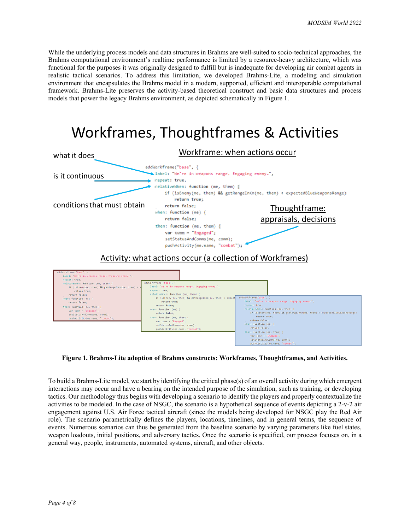While the underlying process models and data structures in Brahms are well-suited to socio-technical approaches, the Brahms computational environment's realtime performance is limited by a resource-heavy architecture, which was functional for the purposes it was originally designed to fulfill but is inadequate for developing air combat agents in realistic tactical scenarios. To address this limitation, we developed Brahms-Lite, a modeling and simulation environment that encapsulates the Brahms model in a modern, supported, efficient and interoperable computational framework. Brahms-Lite preserves the activity-based theoretical construct and basic data structures and process models that power the legacy Brahms environment, as depicted schematically in Figure 1.

# Workframes, Thoughtframes & Activities



**Figure 1. Brahms-Lite adoption of Brahms constructs: Workframes, Thoughtframes, and Activities.**

To build a Brahms-Lite model, we start by identifying the critical phase(s) of an overall activity during which emergent interactions may occur and have a bearing on the intended purpose of the simulation, such as training, or developing tactics. Our methodology thus begins with developing a scenario to identify the players and properly contextualize the activities to be modeled. In the case of NSGC, the scenario is a hypothetical sequence of events depicting a 2-v-2 air engagement against U.S. Air Force tactical aircraft (since the models being developed for NSGC play the Red Air role). The scenario parametrically defines the players, locations, timelines, and in general terms, the sequence of events. Numerous scenarios can thus be generated from the baseline scenario by varying parameters like fuel states, weapon loadouts, initial positions, and adversary tactics. Once the scenario is specified, our process focuses on, in a general way, people, instruments, automated systems, aircraft, and other objects.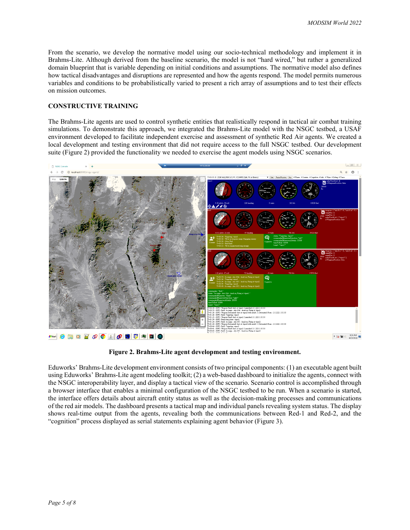From the scenario, we develop the normative model using our socio-technical methodology and implement it in Brahms-Lite. Although derived from the baseline scenario, the model is not "hard wired," but rather a generalized domain blueprint that is variable depending on initial conditions and assumptions. The normative model also defines how tactical disadvantages and disruptions are represented and how the agents respond. The model permits numerous variables and conditions to be probabilistically varied to present a rich array of assumptions and to test their effects on mission outcomes.

#### **CONSTRUCTIVE TRAINING**

The Brahms-Lite agents are used to control synthetic entities that realistically respond in tactical air combat training simulations. To demonstrate this approach, we integrated the Brahms-Lite model with the NSGC testbed, a USAF environment developed to facilitate independent exercise and assessment of synthetic Red Air agents. We created a local development and testing environment that did not require access to the full NSGC testbed. Our development suite (Figure 2) provided the functionality we needed to exercise the agent models using NSGC scenarios.



**Figure 2. Brahms-Lite agent development and testing environment.**

Eduworks' Brahms-Lite development environment consists of two principal components: (1) an executable agent built using Eduworks' Brahms-Lite agent modeling toolkit; (2) a web-based dashboard to initialize the agents, connect with the NSGC interoperability layer, and display a tactical view of the scenario. Scenario control is accomplished through a browser interface that enables a minimal configuration of the NSGC testbed to be run. When a scenario is started, the interface offers details about aircraft entity status as well as the decision-making processes and communications of the red air models. The dashboard presents a tactical map and individual panels revealing system status. The display shows real-time output from the agents, revealing both the communications between Red-1 and Red-2, and the "cognition" process displayed as serial statements explaining agent behavior (Figure 3).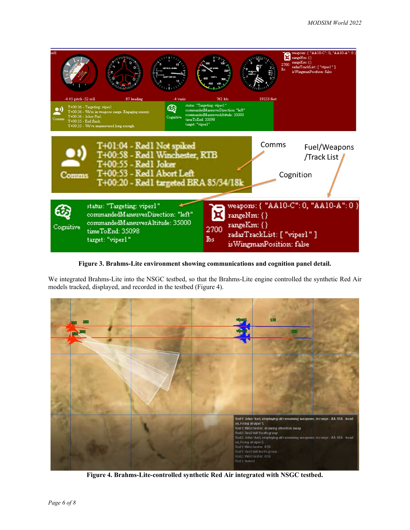

**Figure 3. Brahms-Lite environment showing communications and cognition panel detail.**

We integrated Brahms-Lite into the NSGC testbed, so that the Brahms-Lite engine controlled the synthetic Red Air models tracked, displayed, and recorded in the testbed (Figure 4).



**Figure 4. Brahms-Lite-controlled synthetic Red Air integrated with NSGC testbed.**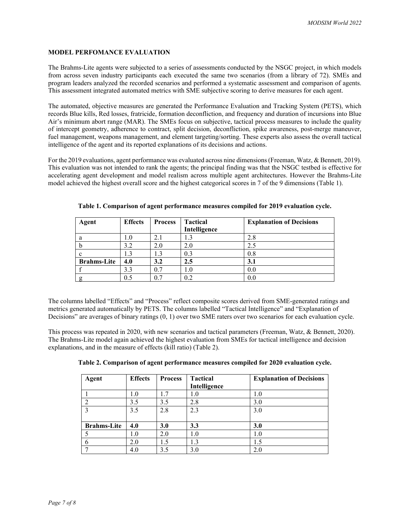## **MODEL PERFOMANCE EVALUATION**

The Brahms-Lite agents were subjected to a series of assessments conducted by the NSGC project, in which models from across seven industry participants each executed the same two scenarios (from a library of 72). SMEs and program leaders analyzed the recorded scenarios and performed a systematic assessment and comparison of agents. This assessment integrated automated metrics with SME subjective scoring to derive measures for each agent.

The automated, objective measures are generated the Performance Evaluation and Tracking System (PETS), which records Blue kills, Red losses, fratricide, formation deconfliction, and frequency and duration of incursions into Blue Air's minimum abort range (MAR). The SMEs focus on subjective, tactical process measures to include the quality of intercept geometry, adherence to contract, split decision, deconfliction, spike awareness, post-merge maneuver, fuel management, weapons management, and element targeting/sorting. These experts also assess the overall tactical intelligence of the agent and its reported explanations of its decisions and actions.

For the 2019 evaluations, agent performance was evaluated across nine dimensions (Freeman, Watz, & Bennett, 2019). This evaluation was not intended to rank the agents; the principal finding was that the NSGC testbed is effective for accelerating agent development and model realism across multiple agent architectures. However the Brahms-Lite model achieved the highest overall score and the highest categorical scores in 7 of the 9 dimensions (Table 1).

| Agent              | <b>Effects</b> | <b>Process</b> | <b>Tactical</b> | <b>Explanation of Decisions</b> |  |
|--------------------|----------------|----------------|-----------------|---------------------------------|--|
|                    |                |                | Intelligence    |                                 |  |
| a                  | 1.0            | 2.1            |                 | 2.8                             |  |
|                    | 3.2            | 2.0            | 2.0             | 2.5                             |  |
| $\mathbf c$        | 1.3            | 1.3            | 0.3             | 0.8                             |  |
| <b>Brahms-Lite</b> | 4.0            | 3.2            | $2.5\,$         | 3.1                             |  |
|                    | 3.3            | 0.7            | $1.0\,$         | 0.0                             |  |
|                    | 0.5            | 0.7            | 0.2             | 0.0                             |  |

**Table 1. Comparison of agent performance measures compiled for 2019 evaluation cycle.**

The columns labelled "Effects" and "Process" reflect composite scores derived from SME-generated ratings and metrics generated automatically by PETS. The columns labelled "Tactical Intelligence" and "Explanation of Decisions" are averages of binary ratings (0, 1) over two SME raters over two scenarios for each evaluation cycle.

This process was repeated in 2020, with new scenarios and tactical parameters (Freeman, Watz, & Bennett, 2020). The Brahms-Lite model again achieved the highest evaluation from SMEs for tactical intelligence and decision explanations, and in the measure of effects (kill ratio) (Table 2).

| Agent              | <b>Effects</b> | <b>Process</b> | <b>Tactical</b><br>Intelligence | <b>Explanation of Decisions</b> |
|--------------------|----------------|----------------|---------------------------------|---------------------------------|
|                    | 1.0            | 1.7            | 1.0                             | 1.0                             |
| ∍                  | 3.5            | 3.5            | 2.8                             | 3.0                             |
| າ                  | 3.5            | 2.8            | 2.3                             | 3.0                             |
| <b>Brahms-Lite</b> | 4.0            | 3.0            | 3.3                             | 3.0                             |
|                    | 1.0            | 2.0            | 1.0                             | 1.0                             |
| 6                  | 2.0            | 1.5            | 1.3                             | 1.5                             |
| −                  | 4.0            | 3.5            | 3.0                             | 2.0                             |

| Table 2. Comparison of agent performance measures compiled for 2020 evaluation cycle. |  |  |  |  |
|---------------------------------------------------------------------------------------|--|--|--|--|
|                                                                                       |  |  |  |  |